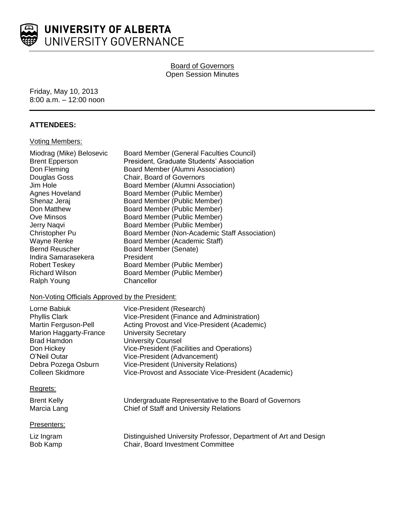

# UNIVERSITY OF ALBERTA UNIVERSITY GOVERNANCE

# **Board of Governors** Open Session Minutes

Friday, May 10, 2013 8:00 a.m. – 12:00 noon

# **ATTENDEES:**

# Voting Members:

| Miodrag (Mike) Belosevic<br><b>Brent Epperson</b> | Board Member (General Faculties Council)<br>President, Graduate Students' Association |
|---------------------------------------------------|---------------------------------------------------------------------------------------|
| Don Fleming                                       | Board Member (Alumni Association)                                                     |
| Douglas Goss                                      | Chair, Board of Governors                                                             |
| Jim Hole                                          | Board Member (Alumni Association)                                                     |
| Agnes Hoveland                                    | Board Member (Public Member)                                                          |
| Shenaz Jeraj                                      | Board Member (Public Member)                                                          |
| Don Matthew                                       | Board Member (Public Member)                                                          |
| Ove Minsos                                        | Board Member (Public Member)                                                          |
| Jerry Nagvi                                       | Board Member (Public Member)                                                          |
| Christopher Pu                                    | Board Member (Non-Academic Staff Association)                                         |
| Wayne Renke                                       | Board Member (Academic Staff)                                                         |
| <b>Bernd Reuscher</b>                             | Board Member (Senate)                                                                 |
| Indira Samarasekera                               | President                                                                             |
| <b>Robert Teskey</b>                              | Board Member (Public Member)                                                          |
| <b>Richard Wilson</b>                             | Board Member (Public Member)                                                          |
| Ralph Young                                       | Chancellor                                                                            |

# Non-Voting Officials Approved by the President:

| Lorne Babiuk<br><b>Phyllis Clark</b><br>Martin Ferguson-Pell<br>Marion Haggarty-France<br><b>Brad Hamdon</b> | Vice-President (Research)<br>Vice-President (Finance and Administration)<br>Acting Provost and Vice-President (Academic)<br><b>University Secretary</b><br><b>University Counsel</b> |
|--------------------------------------------------------------------------------------------------------------|--------------------------------------------------------------------------------------------------------------------------------------------------------------------------------------|
|                                                                                                              |                                                                                                                                                                                      |
|                                                                                                              |                                                                                                                                                                                      |
|                                                                                                              |                                                                                                                                                                                      |
| Don Hickey                                                                                                   | Vice-President (Facilities and Operations)                                                                                                                                           |
| O'Neil Outar                                                                                                 | Vice-President (Advancement)                                                                                                                                                         |
| Debra Pozega Osburn                                                                                          | <b>Vice-President (University Relations)</b>                                                                                                                                         |
| Colleen Skidmore                                                                                             | Vice-Provost and Associate Vice-President (Academic)                                                                                                                                 |
|                                                                                                              |                                                                                                                                                                                      |

# Regrets:

| <b>Brent Kelly</b> | Undergraduate Representative to the Board of Governors |
|--------------------|--------------------------------------------------------|
| Marcia Lang        | Chief of Staff and University Relations                |

# Presenters:

Liz Ingram Distinguished University Professor, Department of Art and Design<br>Bob Kamp Chair, Board Investment Committee Chair, Board Investment Committee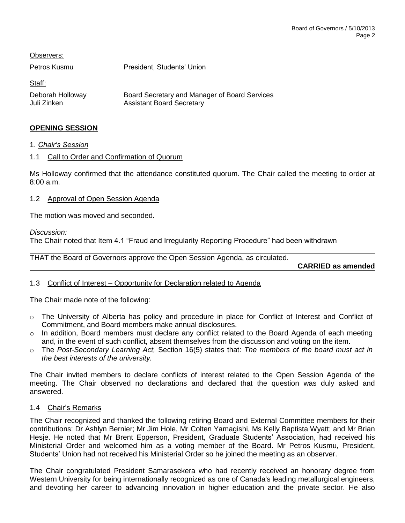| Observers:                      |                                                                                   |
|---------------------------------|-----------------------------------------------------------------------------------|
| Petros Kusmu                    | President, Students' Union                                                        |
| Staff:                          |                                                                                   |
| Deborah Holloway<br>Juli Zinken | Board Secretary and Manager of Board Services<br><b>Assistant Board Secretary</b> |

# **OPENING SESSION**

1. *Chair's Session*

# 1.1 Call to Order and Confirmation of Quorum

Ms Holloway confirmed that the attendance constituted quorum. The Chair called the meeting to order at 8:00 a.m.

# 1.2 Approval of Open Session Agenda

The motion was moved and seconded.

#### *Discussion:*

The Chair noted that Item 4.1 "Fraud and Irregularity Reporting Procedure" had been withdrawn

THAT the Board of Governors approve the Open Session Agenda, as circulated. **CARRIED as amended**

# 1.3 Conflict of Interest – Opportunity for Declaration related to Agenda

The Chair made note of the following:

- o The University of Alberta has policy and procedure in place for Conflict of Interest and Conflict of Commitment, and Board members make annual disclosures.
- $\circ$  In addition, Board members must declare any conflict related to the Board Agenda of each meeting and, in the event of such conflict, absent themselves from the discussion and voting on the item.
- o The *Post-Secondary Learning Act,* Section 16(5) states that: *The members of the board must act in the best interests of the university.*

The Chair invited members to declare conflicts of interest related to the Open Session Agenda of the meeting. The Chair observed no declarations and declared that the question was duly asked and answered.

# 1.4 Chair's Remarks

The Chair recognized and thanked the following retiring Board and External Committee members for their contributions: Dr Ashlyn Bernier; Mr Jim Hole, Mr Colten Yamagishi, Ms Kelly Baptista Wyatt; and Mr Brian Hesje. He noted that Mr Brent Epperson, President, Graduate Students' Association, had received his Ministerial Order and welcomed him as a voting member of the Board. Mr Petros Kusmu, President, Students' Union had not received his Ministerial Order so he joined the meeting as an observer.

The Chair congratulated President Samarasekera who had recently received an honorary degree from Western University for being internationally recognized as one of Canada's leading metallurgical engineers, and devoting her career to advancing innovation in higher education and the private sector. He also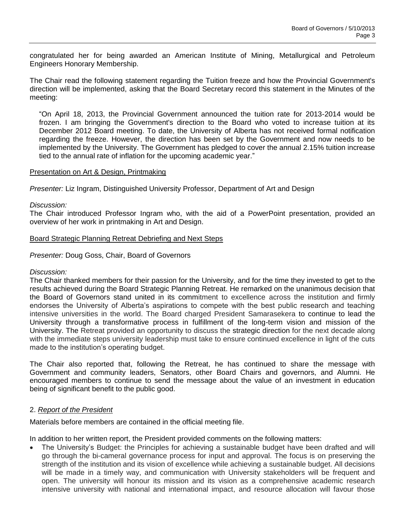congratulated her for being awarded an American Institute of Mining, Metallurgical and Petroleum Engineers Honorary Membership.

The Chair read the following statement regarding the Tuition freeze and how the Provincial Government's direction will be implemented, asking that the Board Secretary record this statement in the Minutes of the meeting:

"On April 18, 2013, the Provincial Government announced the tuition rate for 2013-2014 would be frozen. I am bringing the Government's direction to the Board who voted to increase tuition at its December 2012 Board meeting. To date, the University of Alberta has not received formal notification regarding the freeze. However, the direction has been set by the Government and now needs to be implemented by the University. The Government has pledged to cover the annual 2.15% tuition increase tied to the annual rate of inflation for the upcoming academic year."

#### Presentation on Art & Design, Printmaking

*Presenter:* Liz Ingram, Distinguished University Professor, Department of Art and Design

#### *Discussion:*

The Chair introduced Professor Ingram who, with the aid of a PowerPoint presentation, provided an overview of her work in printmaking in Art and Design.

#### Board Strategic Planning Retreat Debriefing and Next Steps

*Presenter:* Doug Goss, Chair, Board of Governors

#### *Discussion:*

The Chair thanked members for their passion for the University, and for the time they invested to get to the results achieved during the Board Strategic Planning Retreat. He remarked on the unanimous decision that the Board of Governors stand united in its commitment to excellence across the institution and firmly endorses the University of Alberta's aspirations to compete with the best public research and teaching intensive universities in the world. The Board charged President Samarasekera to continue to lead the University through a transformative process in fulfillment of the long-term vision and mission of the University. The Retreat provided an opportunity to discuss the strategic direction for the next decade along with the immediate steps university leadership must take to ensure continued excellence in light of the cuts made to the institution's operating budget.

The Chair also reported that, following the Retreat, he has continued to share the message with Government and community leaders, Senators, other Board Chairs and governors, and Alumni. He encouraged members to continue to send the message about the value of an investment in education being of significant benefit to the public good.

# 2. *Report of the President*

Materials before members are contained in the official meeting file.

In addition to her written report, the President provided comments on the following matters:

 The University's Budget: the Principles for achieving a sustainable budget have been drafted and will go through the bi-cameral governance process for input and approval. The focus is on preserving the strength of the institution and its vision of excellence while achieving a sustainable budget. All decisions will be made in a timely way, and communication with University stakeholders will be frequent and open. The university will honour its mission and its vision as a comprehensive academic research intensive university with national and international impact, and resource allocation will favour those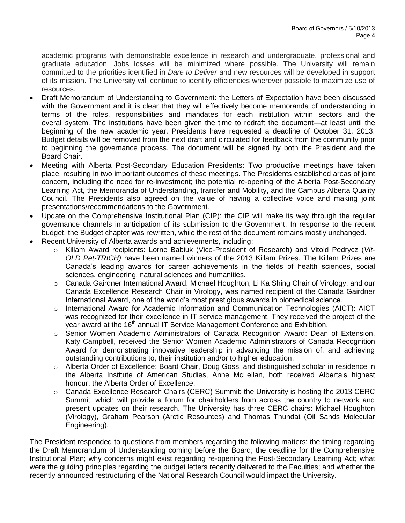academic programs with demonstrable excellence in research and undergraduate, professional and graduate education. Jobs losses will be minimized where possible. The University will remain committed to the priorities identified in *Dare to Deliver* and new resources will be developed in support of its mission. The University will continue to identify efficiencies wherever possible to maximize use of resources.

- Draft Memorandum of Understanding to Government: the Letters of Expectation have been discussed with the Government and it is clear that they will effectively become memoranda of understanding in terms of the roles, responsibilities and mandates for each institution within sectors and the overall system. The institutions have been given the time to redraft the document—at least until the beginning of the new academic year. Presidents have requested a deadline of October 31, 2013. Budget details will be removed from the next draft and circulated for feedback from the community prior to beginning the governance process. The document will be signed by both the President and the Board Chair.
- Meeting with Alberta Post-Secondary Education Presidents: Two productive meetings have taken place, resulting in two important outcomes of these meetings. The Presidents established areas of joint concern, including the need for re-investment; the potential re-opening of the Alberta Post-Secondary Learning Act, the Memoranda of Understanding, transfer and Mobility, and the Campus Alberta Quality Council. The Presidents also agreed on the value of having a collective voice and making joint presentations/recommendations to the Government.
- Update on the Comprehensive Institutional Plan (CIP): the CIP will make its way through the regular governance channels in anticipation of its submission to the Government. In response to the recent budget, the Budget chapter was rewritten, while the rest of the document remains mostly unchanged.
- Recent University of Alberta awards and achievements, including:
	- o Killam Award recipients: Lorne Babiuk (Vice-President of Research) and Vitold Pedrycz (*Vit-OLD Pet-TRICH)* have been named winners of the 2013 Killam Prizes. The Killam Prizes are Canada's leading awards for career achievements in the fields of health sciences, social sciences, engineering, natural sciences and humanities.
	- o Canada Gairdner International Award: Michael Houghton, Li Ka Shing Chair of Virology, and our Canada Excellence Research Chair in Virology, was named recipient of the Canada Gairdner International Award, one of the world's most prestigious awards in biomedical science.
	- $\circ$  International Award for Academic Information and Communication Technologies (AICT): AICT was recognized for their excellence in IT service management. They received the project of the year award at the 16<sup>th</sup> annual IT Service Management Conference and Exhibition.
	- o Senior Women Academic Administrators of Canada Recognition Award: Dean of Extension, Katy Campbell, received the Senior Women Academic Administrators of Canada Recognition Award for demonstrating innovative leadership in advancing the mission of, and achieving outstanding contributions to, their institution and/or to higher education.
	- o Alberta Order of Excellence: Board Chair, Doug Goss, and distinguished scholar in residence in the Alberta Institute of American Studies, Anne McLellan, both received Alberta's highest honour, the Alberta Order of Excellence.
	- o Canada Excellence Research Chairs (CERC) Summit: the University is hosting the 2013 CERC Summit, which will provide a forum for chairholders from across the country to network and present updates on their research. The University has three CERC chairs: Michael Houghton (Virology), Graham Pearson (Arctic Resources) and Thomas Thundat (Oil Sands Molecular Engineering).

The President responded to questions from members regarding the following matters: the timing regarding the Draft Memorandum of Understanding coming before the Board; the deadline for the Comprehensive Institutional Plan; why concerns might exist regarding re-opening the Post-Secondary Learning Act; what were the guiding principles regarding the budget letters recently delivered to the Faculties; and whether the recently announced restructuring of the National Research Council would impact the University.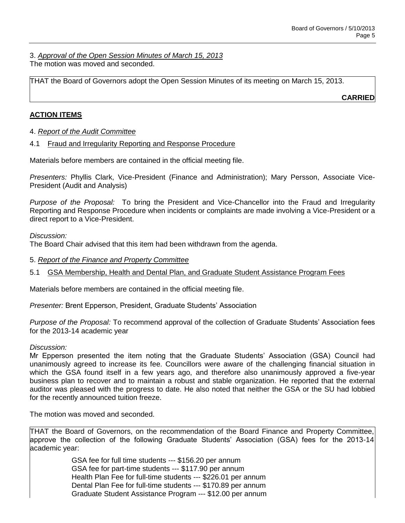3. *Approval of the Open Session Minutes of March 15, 2013* The motion was moved and seconded.

THAT the Board of Governors adopt the Open Session Minutes of its meeting on March 15, 2013.

**CARRIED**

# **ACTION ITEMS**

# 4. *Report of the Audit Committee*

# 4.1 Fraud and Irregularity Reporting and Response Procedure

Materials before members are contained in the official meeting file.

*Presenters:* Phyllis Clark, Vice-President (Finance and Administration); Mary Persson, Associate Vice-President (Audit and Analysis)

*Purpose of the Proposal:* To bring the President and Vice-Chancellor into the Fraud and Irregularity Reporting and Response Procedure when incidents or complaints are made involving a Vice-President or a direct report to a Vice-President.

*Discussion:*

The Board Chair advised that this item had been withdrawn from the agenda.

# 5. *Report of the Finance and Property Committee*

5.1 GSA Membership, Health and Dental Plan, and Graduate Student Assistance Program Fees

Materials before members are contained in the official meeting file.

*Presenter:* Brent Epperson, President, Graduate Students' Association

*Purpose of the Proposal:* To recommend approval of the collection of Graduate Students' Association fees for the 2013-14 academic year

# *Discussion:*

Mr Epperson presented the item noting that the Graduate Students' Association (GSA) Council had unanimously agreed to increase its fee. Councillors were aware of the challenging financial situation in which the GSA found itself in a few years ago, and therefore also unanimously approved a five-year business plan to recover and to maintain a robust and stable organization. He reported that the external auditor was pleased with the progress to date. He also noted that neither the GSA or the SU had lobbied for the recently announced tuition freeze.

The motion was moved and seconded.

THAT the Board of Governors, on the recommendation of the Board Finance and Property Committee, approve the collection of the following Graduate Students' Association (GSA) fees for the 2013-14 academic year:

> GSA fee for full time students --- \$156.20 per annum GSA fee for part-time students --- \$117.90 per annum Health Plan Fee for full-time students --- \$226.01 per annum Dental Plan Fee for full-time students --- \$170.89 per annum Graduate Student Assistance Program --- \$12.00 per annum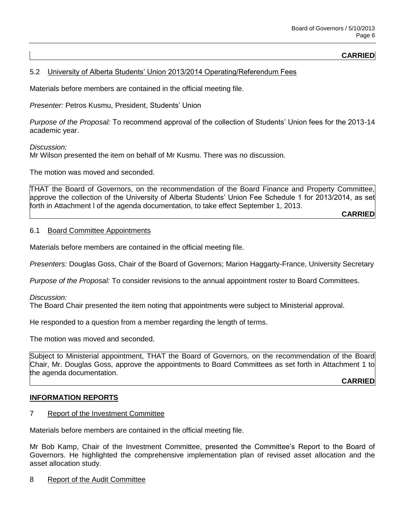# **CARRIED**

# 5.2 University of Alberta Students' Union 2013/2014 Operating/Referendum Fees

Materials before members are contained in the official meeting file.

*Presenter:* Petros Kusmu, President, Students' Union

*Purpose of the Proposal:* To recommend approval of the collection of Students' Union fees for the 2013-14 academic year.

*Discussion:*

Mr Wilson presented the item on behalf of Mr Kusmu. There was no discussion.

The motion was moved and seconded.

THAT the Board of Governors, on the recommendation of the Board Finance and Property Committee, approve the collection of the University of Alberta Students' Union Fee Schedule 1 for 2013/2014, as set forth in Attachment l of the agenda documentation, to take effect September 1, 2013.

**CARRIED**

#### 6.1 Board Committee Appointments

Materials before members are contained in the official meeting file.

*Presenters:* Douglas Goss, Chair of the Board of Governors; Marion Haggarty-France, University Secretary

*Purpose of the Proposal:* To consider revisions to the annual appointment roster to Board Committees.

*Discussion:*

The Board Chair presented the item noting that appointments were subject to Ministerial approval.

He responded to a question from a member regarding the length of terms.

The motion was moved and seconded.

Subject to Ministerial appointment, THAT the Board of Governors, on the recommendation of the Board Chair, Mr. Douglas Goss, approve the appointments to Board Committees as set forth in Attachment 1 to the agenda documentation.

**CARRIED**

# **INFORMATION REPORTS**

7 Report of the Investment Committee

Materials before members are contained in the official meeting file.

Mr Bob Kamp, Chair of the Investment Committee, presented the Committee's Report to the Board of Governors. He highlighted the comprehensive implementation plan of revised asset allocation and the asset allocation study.

8 Report of the Audit Committee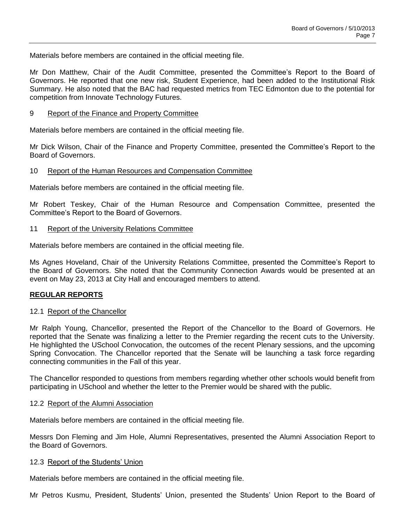Materials before members are contained in the official meeting file.

Mr Don Matthew, Chair of the Audit Committee, presented the Committee's Report to the Board of Governors. He reported that one new risk, Student Experience, had been added to the Institutional Risk Summary. He also noted that the BAC had requested metrics from TEC Edmonton due to the potential for competition from Innovate Technology Futures.

#### 9 Report of the Finance and Property Committee

Materials before members are contained in the official meeting file.

Mr Dick Wilson, Chair of the Finance and Property Committee, presented the Committee's Report to the Board of Governors.

# 10 Report of the Human Resources and Compensation Committee

Materials before members are contained in the official meeting file.

Mr Robert Teskey, Chair of the Human Resource and Compensation Committee, presented the Committee's Report to the Board of Governors.

#### 11 Report of the University Relations Committee

Materials before members are contained in the official meeting file.

Ms Agnes Hoveland, Chair of the University Relations Committee, presented the Committee's Report to the Board of Governors. She noted that the Community Connection Awards would be presented at an event on May 23, 2013 at City Hall and encouraged members to attend.

# **REGULAR REPORTS**

# 12.1 Report of the Chancellor

Mr Ralph Young, Chancellor, presented the Report of the Chancellor to the Board of Governors. He reported that the Senate was finalizing a letter to the Premier regarding the recent cuts to the University. He highlighted the USchool Convocation, the outcomes of the recent Plenary sessions, and the upcoming Spring Convocation. The Chancellor reported that the Senate will be launching a task force regarding connecting communities in the Fall of this year.

The Chancellor responded to questions from members regarding whether other schools would benefit from participating in USchool and whether the letter to the Premier would be shared with the public.

# 12.2 Report of the Alumni Association

Materials before members are contained in the official meeting file.

Messrs Don Fleming and Jim Hole, Alumni Representatives, presented the Alumni Association Report to the Board of Governors.

#### 12.3 Report of the Students' Union

Materials before members are contained in the official meeting file.

Mr Petros Kusmu, President, Students' Union, presented the Students' Union Report to the Board of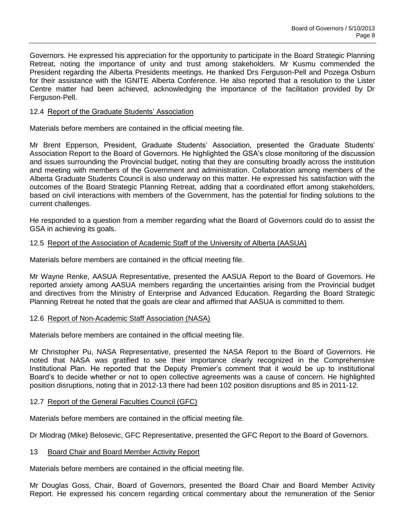Governors. He expressed his appreciation for the opportunity to participate in the Board Strategic Planning Retreat, noting the importance of unity and trust among stakeholders. Mr Kusmu commended the President regarding the Alberta Presidents meetings. He thanked Drs Ferguson-Pell and Pozega Osburn for their assistance with the IGNITE Alberta Conference. He also reported that a resolution to the Lister Centre matter had been achieved, acknowledging the importance of the facilitation provided by Dr Ferguson-Pell.

# 12.4 Report of the Graduate Students' Association

Materials before members are contained in the official meeting file.

Mr Brent Epperson, President, Graduate Students' Association, presented the Graduate Students' Association Report to the Board of Governors. He highlighted the GSA's close monitoring of the discussion and issues surrounding the Provincial budget, noting that they are consulting broadly across the institution and meeting with members of the Government and administration. Collaboration among members of the Alberta Graduate Students Council is also underway on this matter. He expressed his satisfaction with the outcomes of the Board Strategic Planning Retreat, adding that a coordinated effort among stakeholders, based on civil interactions with members of the Government, has the potential for finding solutions to the current challenges.

He responded to a question from a member regarding what the Board of Governors could do to assist the GSA in achieving its goals.

# 12.5 Report of the Association of Academic Staff of the University of Alberta (AASUA)

Materials before members are contained in the official meeting file.

Mr Wayne Renke, AASUA Representative, presented the AASUA Report to the Board of Governors. He reported anxiety among AASUA members regarding the uncertainties arising from the Provincial budget and directives from the Ministry of Enterprise and Advanced Education. Regarding the Board Strategic Planning Retreat he noted that the goals are clear and affirmed that AASUA is committed to them.

# 12.6 Report of Non-Academic Staff Association (NASA)

Materials before members are contained in the official meeting file.

Mr Christopher Pu, NASA Representative, presented the NASA Report to the Board of Governors. He noted that NASA was gratified to see their importance clearly recognized in the Comprehensive Institutional Plan. He reported that the Deputy Premier's comment that it would be up to institutional Board's to decide whether or not to open collective agreements was a cause of concern. He highlighted position disruptions, noting that in 2012-13 there had been 102 position disruptions and 85 in 2011-12.

# 12.7 Report of the General Faculties Council (GFC)

Materials before members are contained in the official meeting file.

Dr Miodrag (Mike) Belosevic, GFC Representative, presented the GFC Report to the Board of Governors.

# 13 Board Chair and Board Member Activity Report

Materials before members are contained in the official meeting file.

Mr Douglas Goss, Chair, Board of Governors, presented the Board Chair and Board Member Activity Report. He expressed his concern regarding critical commentary about the remuneration of the Senior